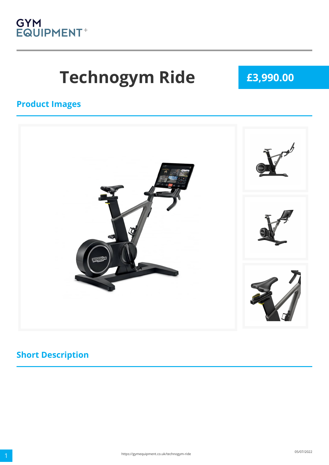

# Technogym Ride **E3,990.00**

#### **Product Images**



### **Short Description**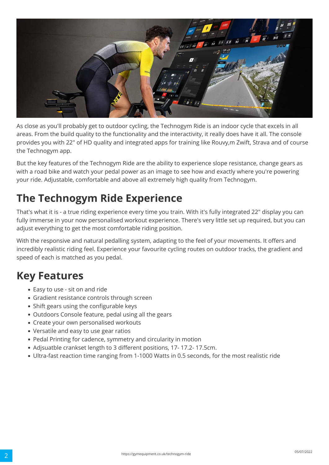

As close as you'll probably get to outdoor cycling, the Technogym Ride is an indoor cycle that excels in all areas. From the build quality to the functionality and the interactivity, it really does have it all. The console provides you with 22" of HD quality and integrated apps for training like Rouvy,m Zwift, Strava and of course the Technogym app.

But the key features of the Technogym Ride are the ability to experience slope resistance, change gears as with a road bike and watch your pedal power as an image to see how and exactly where you're powering your ride. Adjustable, comfortable and above all extremely high quality from Technogym.

## **The Technogym Ride Experience**

That's what it is - a true riding experience every time you train. With it's fully integrated 22" display you can fully immerse in your now personalised workout experience. There's very little set up required, but you can adjust everything to get the most comfortable riding position.

With the responsive and natural pedalling system, adapting to the feel of your movements. It offers and incredibly realistic riding feel. Experience your favourite cycling routes on outdoor tracks, the gradient and speed of each is matched as you pedal.

## **Key Features**

- Easy to use sit on and ride
- Gradient resistance controls through screen
- Shift gears using the configurable keys
- Outdoors Console feature, pedal using all the gears
- Create your own personalised workouts
- Versatile and easy to use gear ratios
- Pedal Printing for cadence, symmetry and circularity in motion
- Adjsuatble crankset length to 3 different positions, 17- 17.2- 17.5cm.
- Ultra-fast reaction time ranging from 1-1000 Watts in 0.5 seconds, for the most realistic ride